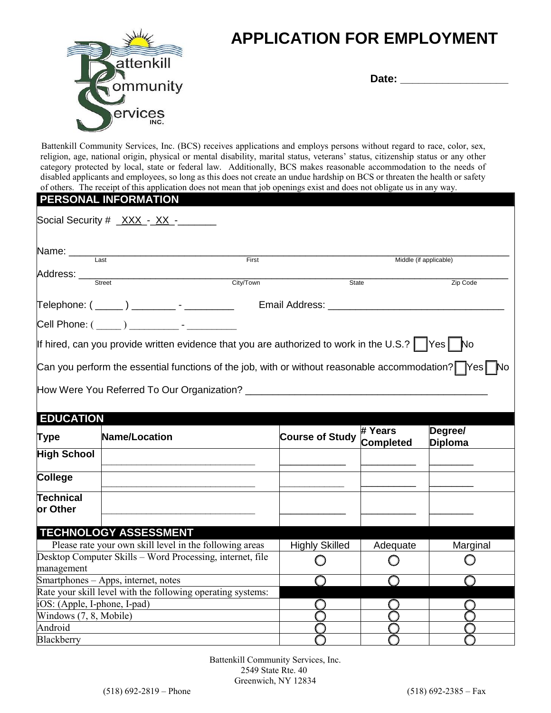



## **Date: \_\_\_\_\_\_\_\_\_\_\_\_\_\_\_\_\_\_**

 Battenkill Community Services, Inc. (BCS) receives applications and employs persons without regard to race, color, sex, religion, age, national origin, physical or mental disability, marital status, veterans' status, citizenship status or any other category protected by local, state or federal law. Additionally, BCS makes reasonable accommodation to the needs of disabled applicants and employees, so long as this does not create an undue hardship on BCS or threaten the health or safety of others. The receipt of this application does not mean that job openings exist and does not obligate us in any way.

## **PERSONAL INFORMATION**

|                                                                                                    | Social Security # XXX - XX -                                                                                   |                               |                        |                             |                           |  |
|----------------------------------------------------------------------------------------------------|----------------------------------------------------------------------------------------------------------------|-------------------------------|------------------------|-----------------------------|---------------------------|--|
| Name: Last                                                                                         |                                                                                                                | First                         |                        | Middle (if applicable)      |                           |  |
|                                                                                                    |                                                                                                                |                               |                        |                             |                           |  |
|                                                                                                    |                                                                                                                | City/Town                     | <b>State</b>           |                             | Zip Code                  |  |
|                                                                                                    | Telephone: ( _____ ) ________ - __________                                                                     | Email Address: Email Address: |                        |                             |                           |  |
|                                                                                                    | Cell Phone: ( _____ ) ___________- - ___________                                                               |                               |                        |                             |                           |  |
|                                                                                                    | If hired, can you provide written evidence that you are authorized to work in the U.S.? $\vert$ Yes $\vert$ No |                               |                        |                             |                           |  |
|                                                                                                    | Can you perform the essential functions of the job, with or without reasonable accommodation? Yes No           |                               |                        |                             |                           |  |
| <b>EDUCATION</b>                                                                                   |                                                                                                                |                               |                        |                             |                           |  |
| Type                                                                                               | Name/Location                                                                                                  |                               | <b>Course of Study</b> | # Years<br><b>Completed</b> | Degree/<br><b>Diploma</b> |  |
| <b>High School</b>                                                                                 |                                                                                                                |                               |                        |                             |                           |  |
| College                                                                                            |                                                                                                                |                               |                        |                             |                           |  |
| <b>Technical</b><br>or Other                                                                       |                                                                                                                |                               |                        |                             |                           |  |
|                                                                                                    | <b>TECHNOLOGY ASSESSMENT</b>                                                                                   |                               |                        |                             |                           |  |
|                                                                                                    | Please rate your own skill level in the following areas                                                        |                               | <b>Highly Skilled</b>  | Adequate                    | Marginal                  |  |
| Desktop Computer Skills - Word Processing, internet, file                                          |                                                                                                                |                               |                        |                             |                           |  |
| management                                                                                         |                                                                                                                |                               |                        |                             |                           |  |
| Smartphones - Apps, internet, notes<br>Rate your skill level with the following operating systems: |                                                                                                                |                               |                        |                             |                           |  |
| iOS: (Apple, I-phone, I-pad)                                                                       |                                                                                                                |                               | ()                     | ( )                         |                           |  |
| Windows (7, 8, Mobile)                                                                             |                                                                                                                |                               | $\bigcap$              | ∩                           |                           |  |
| Android                                                                                            |                                                                                                                |                               | ∩                      | $\bigcirc$                  |                           |  |
| Blackberry                                                                                         |                                                                                                                |                               | ∩                      | ∩                           |                           |  |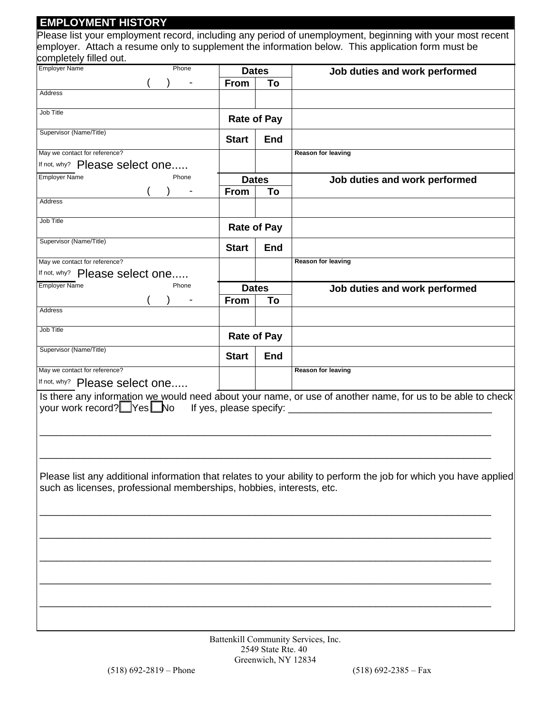## **EMPLOYMENT HISTORY**

Please list your employment record, including any period of unemployment, beginning with your most recent employer. Attach a resume only to supplement the information below. This application form must be completely filled out.

| COTTIPIETETY THIEU OUT.<br>Employer Name<br>Phone                    | <b>Dates</b>            |                    | Job duties and work performed                                                                                     |
|----------------------------------------------------------------------|-------------------------|--------------------|-------------------------------------------------------------------------------------------------------------------|
|                                                                      | From                    | To                 |                                                                                                                   |
| <b>Address</b>                                                       |                         |                    |                                                                                                                   |
|                                                                      |                         |                    |                                                                                                                   |
| Job Title                                                            | <b>Rate of Pay</b>      |                    |                                                                                                                   |
|                                                                      |                         |                    |                                                                                                                   |
| Supervisor (Name/Title)                                              | <b>Start</b>            | End                |                                                                                                                   |
| May we contact for reference?                                        |                         |                    | <b>Reason for leaving</b>                                                                                         |
| If not, why? Please select one                                       |                         |                    |                                                                                                                   |
|                                                                      |                         |                    |                                                                                                                   |
| <b>Employer Name</b><br>Phone                                        | <b>Dates</b>            |                    | Job duties and work performed                                                                                     |
|                                                                      | <b>From</b>             | To                 |                                                                                                                   |
| Address                                                              |                         |                    |                                                                                                                   |
|                                                                      |                         |                    |                                                                                                                   |
| Job Title                                                            |                         | <b>Rate of Pay</b> |                                                                                                                   |
| Supervisor (Name/Title)                                              |                         |                    |                                                                                                                   |
|                                                                      | <b>Start</b>            | <b>End</b>         |                                                                                                                   |
| May we contact for reference?                                        |                         |                    | <b>Reason for leaving</b>                                                                                         |
| If not, why? Please select one                                       |                         |                    |                                                                                                                   |
| <b>Employer Name</b><br>Phone                                        |                         |                    |                                                                                                                   |
|                                                                      |                         | <b>Dates</b>       | Job duties and work performed                                                                                     |
|                                                                      | <b>From</b>             | To                 |                                                                                                                   |
| Address                                                              |                         |                    |                                                                                                                   |
| Job Title                                                            |                         |                    |                                                                                                                   |
|                                                                      | <b>Rate of Pay</b>      |                    |                                                                                                                   |
|                                                                      |                         |                    |                                                                                                                   |
|                                                                      |                         |                    |                                                                                                                   |
| Supervisor (Name/Title)                                              | <b>Start</b>            | <b>End</b>         |                                                                                                                   |
| May we contact for reference?                                        |                         |                    | <b>Reason for leaving</b>                                                                                         |
|                                                                      |                         |                    |                                                                                                                   |
|                                                                      |                         |                    |                                                                                                                   |
| If not, why? Please select one                                       |                         |                    | Is there any information we would need about your name, or use of another name, for us to be able to check        |
| your work record? Nes Mo                                             | If yes, please specify: |                    |                                                                                                                   |
|                                                                      |                         |                    |                                                                                                                   |
|                                                                      |                         |                    |                                                                                                                   |
|                                                                      |                         |                    |                                                                                                                   |
|                                                                      |                         |                    |                                                                                                                   |
|                                                                      |                         |                    |                                                                                                                   |
|                                                                      |                         |                    | Please list any additional information that relates to your ability to perform the job for which you have applied |
| such as licenses, professional memberships, hobbies, interests, etc. |                         |                    |                                                                                                                   |
|                                                                      |                         |                    |                                                                                                                   |
|                                                                      |                         |                    |                                                                                                                   |
|                                                                      |                         |                    |                                                                                                                   |
|                                                                      |                         |                    |                                                                                                                   |
|                                                                      |                         |                    |                                                                                                                   |
|                                                                      |                         |                    |                                                                                                                   |
|                                                                      |                         |                    |                                                                                                                   |
|                                                                      |                         |                    |                                                                                                                   |
|                                                                      |                         |                    |                                                                                                                   |
|                                                                      |                         |                    |                                                                                                                   |
|                                                                      |                         |                    |                                                                                                                   |
|                                                                      |                         |                    |                                                                                                                   |